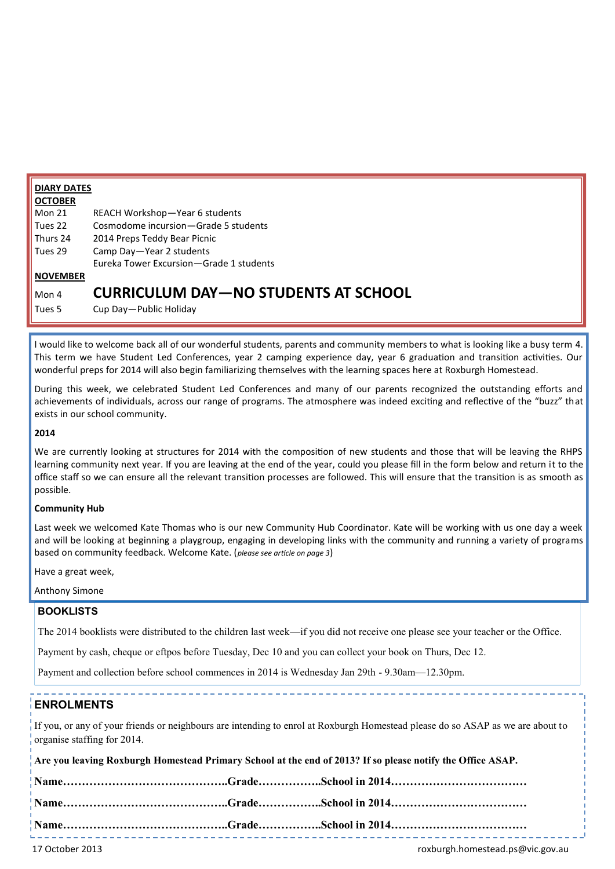| <b>DIARY DATES</b> |                                             |  |
|--------------------|---------------------------------------------|--|
| <b>OCTOBER</b>     |                                             |  |
| $\mathsf{Mon}\,21$ | REACH Workshop-Year 6 students              |  |
| Tues 22            | Cosmodome incursion-Grade 5 students        |  |
| Thurs 24           | 2014 Preps Teddy Bear Picnic                |  |
| Tues 29            | Camp Day-Year 2 students                    |  |
|                    | Eureka Tower Excursion-Grade 1 students     |  |
| <b>NOVEMBER</b>    |                                             |  |
| Mon 4              | <b>CURRICULUM DAY-NO STUDENTS AT SCHOOL</b> |  |
| Tues 5             | Cup Day-Public Holiday                      |  |

I would like to welcome back all of our wonderful students, parents and community members to what is looking like a busy term 4. This term we have Student Led Conferences, year 2 camping experience day, year 6 graduation and transition activities. Our wonderful preps for 2014 will also begin familiarizing themselves with the learning spaces here at Roxburgh Homestead.

During this week, we celebrated Student Led Conferences and many of our parents recognized the outstanding efforts and achievements of individuals, across our range of programs. The atmosphere was indeed exciting and reflective of the "buzz" that exists in our school community.

### **2014**

We are currently looking at structures for 2014 with the composition of new students and those that will be leaving the RHPS learning community next year. If you are leaving at the end of the year, could you please fill in the form below and return it to the office staff so we can ensure all the relevant transition processes are followed. This will ensure that the transition is as smooth as possible.

### **Community Hub**

Last week we welcomed Kate Thomas who is our new Community Hub Coordinator. Kate will be working with us one day a week and will be looking at beginning a playgroup, engaging in developing links with the community and running a variety of programs based on community feedback. Welcome Kate. (*please see article on page 3*)

Have a great week,

Anthony Simone

### **BOOKLISTS**

The 2014 booklists were distributed to the children last week—if you did not receive one please see your teacher or the Office.

Payment by cash, cheque or eftpos before Tuesday, Dec 10 and you can collect your book on Thurs, Dec 12.

Payment and collection before school commences in 2014 is Wednesday Jan 29th - 9.30am—12.30pm.

# **ENROLMENTS**

If you, or any of your friends or neighbours are intending to enrol at Roxburgh Homestead please do so ASAP as we are about to organise staffing for 2014.

|  | Are you leaving Roxburgh Homestead Primary School at the end of 2013? If so please notify the Office ASAP. |
|--|------------------------------------------------------------------------------------------------------------|
|  |                                                                                                            |
|  |                                                                                                            |
|  |                                                                                                            |
|  |                                                                                                            |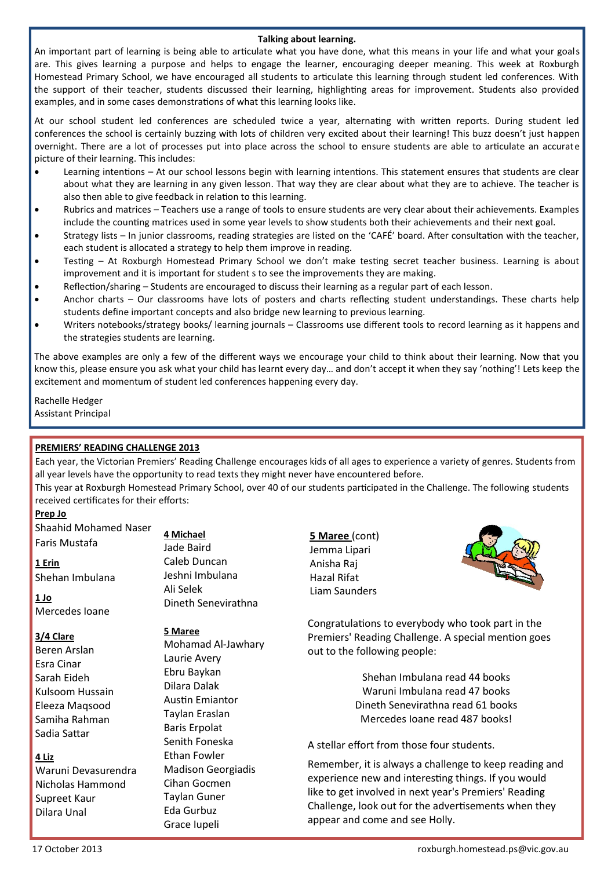### **Talking about learning.**

An important part of learning is being able to articulate what you have done, what this means in your life and what your goals are. This gives learning a purpose and helps to engage the learner, encouraging deeper meaning. This week at Roxburgh Homestead Primary School, we have encouraged all students to articulate this learning through student led conferences. With the support of their teacher, students discussed their learning, highlighting areas for improvement. Students also provided examples, and in some cases demonstrations of what this learning looks like.

At our school student led conferences are scheduled twice a year, alternating with written reports. During student led conferences the school is certainly buzzing with lots of children very excited about their learning! This buzz doesn't just happen overnight. There are a lot of processes put into place across the school to ensure students are able to articulate an accurate picture of their learning. This includes:

- Learning intentions At our school lessons begin with learning intentions. This statement ensures that students are clear about what they are learning in any given lesson. That way they are clear about what they are to achieve. The teacher is also then able to give feedback in relation to this learning.
- Rubrics and matrices Teachers use a range of tools to ensure students are very clear about their achievements. Examples include the counting matrices used in some year levels to show students both their achievements and their next goal.
- Strategy lists In junior classrooms, reading strategies are listed on the 'CAFÉ' board. After consultation with the teacher, each student is allocated a strategy to help them improve in reading.
- Testing At Roxburgh Homestead Primary School we don't make testing secret teacher business. Learning is about improvement and it is important for student s to see the improvements they are making.
- Reflection/sharing Students are encouraged to discuss their learning as a regular part of each lesson.
- Anchor charts Our classrooms have lots of posters and charts reflecting student understandings. These charts help students define important concepts and also bridge new learning to previous learning.
- Writers notebooks/strategy books/ learning journals Classrooms use different tools to record learning as it happens and the strategies students are learning.

The above examples are only a few of the different ways we encourage your child to think about their learning. Now that you know this, please ensure you ask what your child has learnt every day… and don't accept it when they say 'nothing'! Lets keep the excitement and momentum of student led conferences happening every day.

Rachelle Hedger Assistant Principal

## **PREMIERS' READING CHALLENGE 2013**

Each year, the Victorian Premiers' Reading Challenge encourages kids of all ages to experience a variety of genres. Students from all year levels have the opportunity to read texts they might never have encountered before.

This year at Roxburgh Homestead Primary School, over 40 of our students participated in the Challenge. The following students received certificates for their efforts:

### **Prep Jo**

| <b>Shaahid Mohamed Naser</b> |
|------------------------------|
| Faris Mustafa                |

**1 Erin** Shehan Imbulana

**1 Jo** Mercedes Ioane

### **3/4 Clare**

Beren Arslan Esra Cinar Sarah Eideh Kulsoom Hussain Eleeza Maqsood Samiha Rahman Sadia Sattar

### **4 Liz**

Waruni Devasurendra Nicholas Hammond Supreet Kaur Dilara Unal

**4 Michael** Jade Baird Caleb Duncan Jeshni Imbulana Ali Selek Dineth Senevirathna

### **5 Maree**

Mohamad Al-Jawhary Laurie Avery Ebru Baykan Dilara Dalak Austin Emiantor Taylan Eraslan Baris Erpolat Senith Foneska Ethan Fowler Madison Georgiadis Cihan Gocmen Taylan Guner Eda Gurbuz Grace Iupeli

**5 Maree** (cont) Jemma Lipari Anisha Raj Hazal Rifat Liam Saunders



Congratulations to everybody who took part in the Premiers' Reading Challenge. A special mention goes out to the following people:

> Shehan Imbulana read 44 books Waruni Imbulana read 47 books Dineth Senevirathna read 61 books Mercedes Ioane read 487 books!

## A stellar effort from those four students.

Remember, it is always a challenge to keep reading and experience new and interesting things. If you would like to get involved in next year's Premiers' Reading Challenge, look out for the advertisements when they appear and come and see Holly.